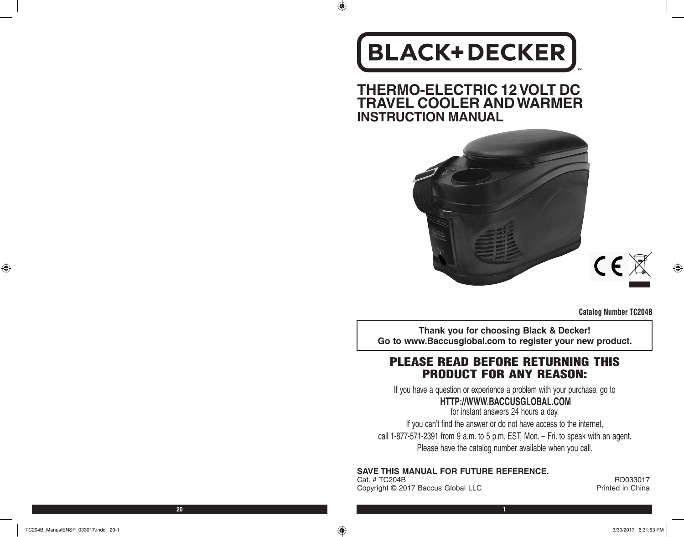# **BLACK+DECKER**

 $\bigoplus$ 

**THERMO-ELECTRIC 12 VOLT DC TRAVEL COOLER AND WARMER INSTRUCTION MANUAL**



**Catalog Number TC204B** 

**Thank you for choosing Black & Decker! Go to www.Baccusglobal.com to register your new product.**

## PLEASE READ BEFORE RETURNING THIS PRODUCT FOR ANY REASON:

If you have a question or experience a problem with your purchase, go to

## **HTTP://WWW.BACCUSGLOBAL.COM**

for instant answers 24 hours a day. If you can't find the answer or do not have access to the internet, call 1-877-571-2391 from 9 a.m. to 5 p.m. EST, Mon. – Fri. to speak with an agent. Please have the catalog number available when you call.

**SAVE THIS MANUAL FOR FUTURE REFERENCE.**

Cat. # TC204B RD033017<br>Copyright © 2017 Baccus Global LLC Research Convertible Research Printed in China Copyright © 2017 Baccus Global LLC

 $\bigoplus$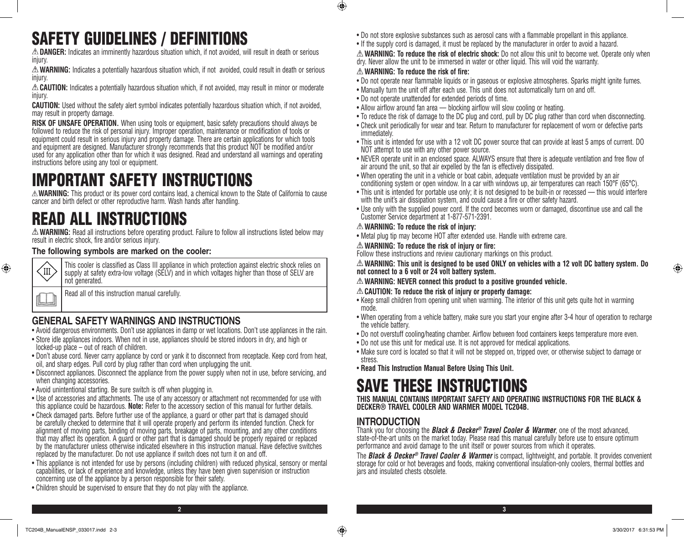## SAFETY GUIDELINES / DEFINITIONS

**DANGER:** Indicates an imminently hazardous situation which, if not avoided, will result in death or serious injury.

**WARNING:** Indicates a potentially hazardous situation which, if not avoided, could result in death or serious injury.

**CAUTION:** Indicates a potentially hazardous situation which, if not avoided, may result in minor or moderate injury.

**CAUTION:** Used without the safety alert symbol indicates potentially hazardous situation which, if not avoided, may result in property damage.

**RISK OF UNSAFE OPERATION.** When using tools or equipment, basic safety precautions should always be followed to reduce the risk of personal injury. Improper operation, maintenance or modification of tools or equipment could result in serious injury and property damage. There are certain applications for which tools and equipment are designed. Manufacturer strongly recommends that this product NOT be modified and/or used for any application other than for which it was designed. Read and understand all warnings and operating instructions before using any tool or equipment.

## IMPORTANT SAFETY INSTRUCTIONS

**WARNING:** This product or its power cord contains lead, a chemical known to the State of California to cause cancer and birth defect or other reproductive harm. Wash hands after handling.

## READ ALL INSTRUCTIONS

**WARNING:** Read all instructions before operating product. Failure to follow all instructions listed below may result in electric shock, fire and/or serious injury.

### **The following symbols are marked on the cooler:**

⊕

This cooler is classified as Class III appliance in which protection against electric shock relies on supply at safety extra-low voltage (SELV) and in which voltages higher than those of SELV are not generated.

Read all of this instruction manual carefully.

## **GENERAL SAFETY WARNINGS AND INSTRUCTIONS**

- • Avoid dangerous environments. Don't use appliances in damp or wet locations. Don't use appliances in the rain.
- Store idle appliances indoors. When not in use, appliances should be stored indoors in dry, and high or locked-up place – out of reach of children.
- Don't abuse cord. Never carry appliance by cord or yank it to disconnect from receptacle. Keep cord from heat, oil, and sharp edges. Pull cord by plug rather than cord when unplugging the unit.
- • Disconnect appliances. Disconnect the appliance from the power supply when not in use, before servicing, and when changing accessories.
- Avoid unintentional starting. Be sure switch is off when plugging in.
- • Use of accessories and attachments. The use of any accessory or attachment not recommended for use with this appliance could be hazardous. **Note:** Refer to the accessory section of this manual for further details.
- Check damaged parts. Before further use of the appliance, a guard or other part that is damaged should be carefully checked to determine that it will operate properly and perform its intended function. Check for alignment of moving parts, binding of moving parts, breakage of parts, mounting, and any other conditions that may affect its operation. A guard or other part that is damaged should be properly repaired or replaced by the manufacturer unless otherwise indicated elsewhere in this instruction manual. Have defective switches replaced by the manufacturer. Do not use appliance if switch does not turn it on and off.
- This appliance is not intended for use by persons (including children) with reduced physical, sensory or mental capabilities, or lack of experience and knowledge, unless they have been given supervision or instruction concerning use of the appliance by a person responsible for their safety.
- Children should be supervised to ensure that they do not play with the appliance.
- • Do not store explosive substances such as aerosol cans with a flammable propellant in this appliance.
- If the supply cord is damaged, it must be replaced by the manufacturer in order to avoid a hazard.

**WARNING: To reduce the risk of electric shock:** Do not allow this unit to become wet. Operate only when dry. Never allow the unit to be immersed in water or other liquid. This will void the warranty.

### **WARNING: To reduce the risk of fire:**

 $\bigcirc$ 

- • Do not operate near flammable liquids or in gaseous or explosive atmospheres. Sparks might ignite fumes.
- Manually turn the unit off after each use. This unit does not automatically turn on and off.
- • Do not operate unattended for extended periods of time.
- Allow airflow around fan area blocking airflow will slow cooling or heating.
- To reduce the risk of damage to the DC plug and cord, pull by DC plug rather than cord when disconnecting.
- • Check unit periodically for wear and tear. Return to manufacturer for replacement of worn or defective parts immediately.
- This unit is intended for use with a 12 volt DC power source that can provide at least 5 amps of current. DO NOT attempt to use with any other power source.
- • NEVER operate unit in an enclosed space. ALWAYS ensure that there is adequate ventilation and free flow of air around the unit, so that air expelled by the fan is effectively dissipated.
- When operating the unit in a vehicle or boat cabin, adequate ventilation must be provided by an air conditioning system or open window. In a car with windows up, air temperatures can reach 150°F (65°C).
- This unit is intended for portable use only; it is not designed to be built-in or recessed this would interfere with the unit's air dissipation system, and could cause a fire or other safety hazard.
- Use only with the supplied power cord. If the cord becomes worn or damaged, discontinue use and call the Customer Service department at 1-877-571-2391.

### **WARNING: To reduce the risk of injury:**

• Metal plug tip may become HOT after extended use. Handle with extreme care.

## **WARNING: To reduce the risk of injury or fire:**

Follow these instructions and review cautionary markings on this product.

**WARNING: This unit is designed to be used ONLY on vehicles with a 12 volt DC battery system. Do not connect to a 6 volt or 24 volt battery system.**

**WARNING: NEVER connect this product to a positive grounded vehicle.**

## **CAUTION: To reduce the risk of injury or property damage:**

- Keep small children from opening unit when warming. The interior of this unit gets quite hot in warming mode.
- When operating from a vehicle battery, make sure you start your engine after 3-4 hour of operation to recharge the vehicle battery.
- • Do not overstuff cooling/heating chamber. Airflow between food containers keeps temperature more even.
- Do not use this unit for medical use. It is not approved for medical applications.
- • Make sure cord is located so that it will not be stepped on, tripped over, or otherwise subject to damage or stress.
- • **Read This Instruction Manual Before Using This Unit.**

## SAVE THESE INSTRUCTIONS

**THIS MANUAL CONTAINS IMPORTANT SAFETY AND OPERATING INSTRUCTIONS FOR THE BLACK & DECKER® TRAVEL COOLER AND WARMER MODEL TC204B.**

## **INTRODUCTION**

Thank you for choosing the *Black & Decker® Travel Cooler & Warmer*, one of the most advanced, state-of-the-art units on the market today. Please read this manual carefully before use to ensure optimum performance and avoid damage to the unit itself or power sources from which it operates.

The *Black & Decker® Travel Cooler & Warmer* is compact, lightweight, and portable. It provides convenient storage for cold or hot beverages and foods, making conventional insulation-only coolers, thermal bottles and jars and insulated chests obsolete.

⊕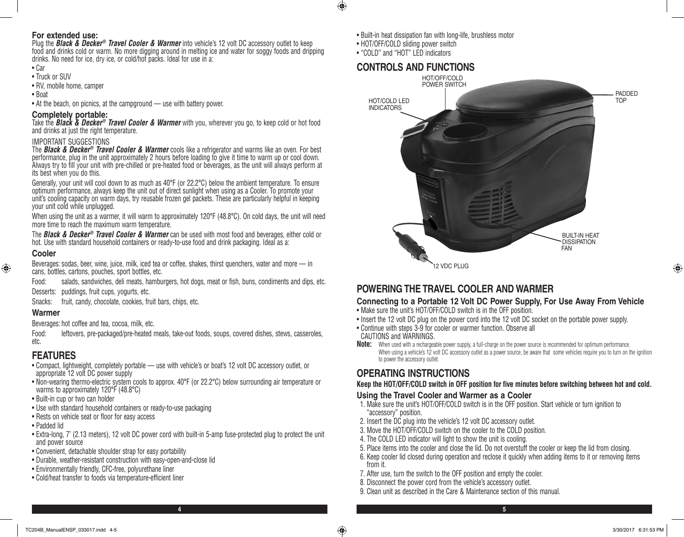### **For extended use:**

Plug the *Black & Decker® Travel Cooler & Warmer* into vehicle's 12 volt DC accessory outlet to keep food and drinks cold or warm. No more digging around in melting ice and water for soggy foods and dripping drinks. No need for ice, dry ice, or cold/hot packs. Ideal for use in a:

- • Car
- Truck or SUV
- RV, mobile home, camper
- • Boat
- At the beach, on picnics, at the campground use with battery power.

### **Completely portable:**

Take the *Black & Decker® Travel Cooler & Warmer* with you, wherever you go, to keep cold or hot food and drinks at just the right temperature.

### IMPORTANT SUGGESTIONS

The *Black & Decker® Travel Cooler & Warmer* cools like a refrigerator and warms like an oven. For best performance, plug in the unit approximately 2 hours before loading to give it time to warm up or cool down. Always try to fill your unit with pre-chilled or pre-heated food or beverages, as the unit will always perform at its best when you do this.

Generally, your unit will cool down to as much as 40°F (or 22.2°C) below the ambient temperature. To ensure optimum performance, always keep the unit out of direct sunlight when using as a Cooler. To promote your unit's cooling capacity on warm days, try reusable frozen gel packets. These are particularly helpful in keeping your unit cold while unplugged.

When using the unit as a warmer, it will warm to approximately 120°F (48.8°C). On cold days, the unit will need more time to reach the maximum warm temperature.

The *Black & Decker® Travel Cooler & Warmer* can be used with most food and beverages, either cold or hot. Use with standard household containers or ready-to-use food and drink packaging. Ideal as a:

### **Cooler**

⊕

Beverages: sodas, beer, wine, juice, milk, iced tea or coffee, shakes, thirst quenchers, water and more — in cans, bottles, cartons, pouches, sport bottles, etc.

Food: salads, sandwiches, deli meats, hamburgers, hot dogs, meat or fish, buns, condiments and dips, etc.

Desserts: puddings, fruit cups, yogurts, etc.

Snacks: fruit, candy, chocolate, cookies, fruit bars, chips, etc.

### **Warmer**

Beverages: hot coffee and tea, cocoa, milk, etc.

Food: leftovers, pre-packaged/pre-heated meals, take-out foods, soups, covered dishes, stews, casseroles, etc.

## **FEATURES**

- • Compact, lightweight, completely portable use with vehicle's or boat's 12 volt DC accessory outlet, or appropriate 12 volt DC power supply
- • Non-wearing thermo-electric system cools to approx. 40°F (or 22.2°C) below surrounding air temperature or warms to approximately 120°F (48.8°C)
- Built-in cup or two can holder
- Use with standard household containers or ready-to-use packaging
- Rests on vehicle seat or floor for easy access
- • Padded lid
- Extra-long, 7' (2.13 meters), 12 volt DC power cord with built-in 5-amp fuse-protected plug to protect the unit and power source
- Convenient, detachable shoulder strap for easy portability
- • Durable, weather-resistant construction with easy-open-and-close lid
- Environmentally friendly, CFC-free, polyurethane liner
- • Cold/heat transfer to foods via temperature-efficient liner
- Built-in heat dissipation fan with long-life, brushless motor
- HOT/OFF/COLD sliding power switch
- "COLD" and "HOT" LED indicators

 $\bigoplus$ 

## **CONTROLS AND FUNCTIONS**



## **POWERING THE TRAVEL COOLER AND WARMER**

## **Connecting to a Portable 12 Volt DC Power Supply, For Use Away From Vehicle**

- Make sure the unit's HOT/OFF/COLD switch is in the OFF position.
- Insert the 12 volt DC plug on the power cord into the 12 volt DC socket on the portable power supply.
- Continue with steps 3-9 for cooler or warmer function. Observe all
- CAUTIONS and WARNINGS.
- **Note:** When used with a rechargeable power supply, a full-charge on the power source is recommended for optimum performance. When using a vehicle's 12 volt DC accessory outlet as a power source, be aware that some vehicles require you to turn on the ignition to power the accessory outlet.

## **OPERATING INSTRUCTIONS**

### **Keep the HOT/OFF/COLD switch in OFF position for five minutes before switching between hot and cold.**

### **Using the Travel Cooler and Warmer as a Cooler**

- 1. Make sure the unit's HOT/OFF/COLD switch is in the OFF position. Start vehicle or turn ignition to "accessory" position.
- 2. Insert the DC plug into the vehicle's 12 volt DC accessory outlet.
- 3. Move the HOT/OFF/COLD switch on the cooler to the COLD position.
- 4. The COLD LED indicator will light to show the unit is cooling.
- 5. Place items into the cooler and close the lid. Do not overstuff the cooler or keep the lid from closing.
- 6. Keep cooler lid closed during operation and reclose it quickly when adding items to it or removing items from it.
- 7. After use, turn the switch to the OFF position and empty the cooler.
- 8. Disconnect the power cord from the vehicle's accessory outlet.
- 9. Clean unit as described in the Care & Maintenance section of this manual.

**4 5**

♠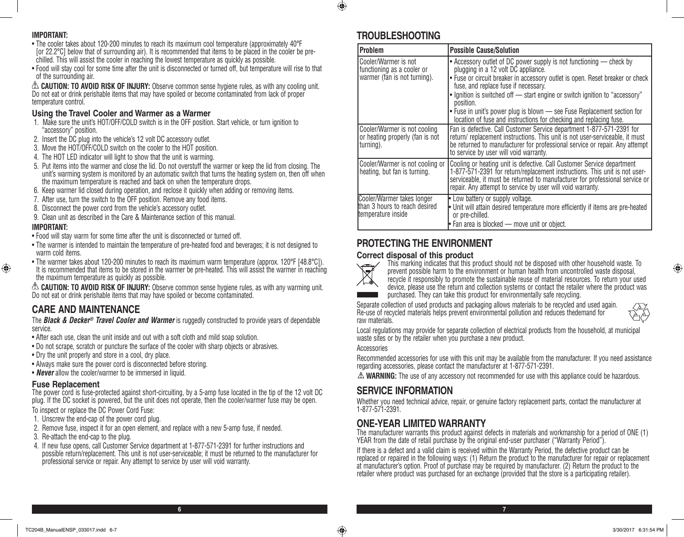### **IMPORTANT:**

- The cooler takes about 120-200 minutes to reach its maximum cool temperature (approximately 40°F [or 22.2°C] below that of surrounding air). It is recommended that items to be placed in the cooler be prechilled. This will assist the cooler in reaching the lowest temperature as quickly as possible.
- • Food will stay cool for some time after the unit is disconnected or turned off, but temperature will rise to that of the surrounding air.

**CAUTION: TO AVOID RISK OF INJURY:** Observe common sense hygiene rules, as with any cooling unit. Do not eat or drink perishable items that may have spoiled or become contaminated from lack of proper temperature control.

### **Using the Travel Cooler and Warmer as a Warmer**

- 1. Make sure the unit's HOT/OFF/COLD switch is in the OFF position. Start vehicle, or turn ignition to "accessory" position.
- 2. Insert the DC plug into the vehicle's 12 volt DC accessory outlet.
- 3. Move the HOT/OFF/COLD switch on the cooler to the HOT position.
- 4. The HOT LED indicator will light to show that the unit is warming.
- 5. Put items into the warmer and close the lid. Do not overstuff the warmer or keep the lid from closing. The unit's warming system is monitored by an automatic switch that turns the heating system on, then off when the maximum temperature is reached and back on when the temperature drops.
- 6. Keep warmer lid closed during operation, and reclose it quickly when adding or removing items.
- 7. After use, turn the switch to the OFF position. Remove any food items.
- 8. Disconnect the power cord from the vehicle's accessory outlet.
- 9. Clean unit as described in the Care & Maintenance section of this manual.

### **IMPORTANT:**

⊕

- Food will stay warm for some time after the unit is disconnected or turned off.
- The warmer is intended to maintain the temperature of pre-heated food and beverages; it is not designed to warm cold items.
- The warmer takes about 120-200 minutes to reach its maximum warm temperature (approx. 120°F [48.8°C]). It is recommended that items to be stored in the warmer be pre-heated. This will assist the warmer in reaching the maximum temperature as quickly as possible.

**CAUTION: TO AVOID RISK OF INJURY:** Observe common sense hygiene rules, as with any warming unit. Do not eat or drink perishable items that may have spoiled or become contaminated.

## **CARE AND MAINTENANCE**

The *Black & Decker® Travel Cooler and Warmer* is ruggedly constructed to provide years of dependable service.

- After each use, clean the unit inside and out with a soft cloth and mild soap solution.
- Do not scrape, scratch or puncture the surface of the cooler with sharp objects or abrasives.
- Dry the unit properly and store in a cool, dry place.
- Always make sure the power cord is disconnected before storing.
- **Never** allow the cooler/warmer to be immersed in liquid.

### **Fuse Replacement**

The power cord is fuse-protected against short-circuiting, by a 5-amp fuse located in the tip of the 12 volt DC plug. If the DC socket is powered, but the unit does not operate, then the cooler/warmer fuse may be open. To inspect or replace the DC Power Cord Fuse:

- 1. Unscrew the end-cap of the power cord plug.
- 2. Remove fuse, inspect it for an open element, and replace with a new 5-amp fuse, if needed.
- 3. Re-attach the end-cap to the plug.
- 4. If new fuse opens, call Customer Service department at 1-877-571-2391 for further instructions and possible return/replacement. This unit is not user-serviceable; it must be returned to the manufacturer for professional service or repair. Any attempt to service by user will void warranty.

## **TROUBLESHOOTING**

 $\bigoplus$ 

| Problem                                                                            | <b>Possible Cause/Solution</b>                                                                                                                                                                                                                                                                                                                                                                             |
|------------------------------------------------------------------------------------|------------------------------------------------------------------------------------------------------------------------------------------------------------------------------------------------------------------------------------------------------------------------------------------------------------------------------------------------------------------------------------------------------------|
| Cooler/Warmer is not<br>functioning as a cooler or<br>warmer (fan is not turning). | • Accessory outlet of DC power supply is not functioning — check by<br>plugging in a 12 volt DC appliance.<br>• Fuse or circuit breaker in accessory outlet is open. Reset breaker or check<br>fuse, and replace fuse if necessary.<br>. Ignition is switched off - start engine or switch ignition to "accessory"<br>position.<br>• Fuse in unit's power plug is blown — see Fuse Replacement section for |
|                                                                                    | location of fuse and instructions for checking and replacing fuse.                                                                                                                                                                                                                                                                                                                                         |
| Cooler/Warmer is not cooling<br>or heating properly (fan is not<br>turning).       | Fan is defective. Call Customer Service department 1-877-571-2391 for<br>return/ replacement instructions. This unit is not user-serviceable, it must<br>be returned to manufacturer for professional service or repair. Any attempt<br>to service by user will void warranty.                                                                                                                             |
| Cooler/Warmer is not cooling or<br>heating, but fan is turning.                    | Cooling or heating unit is defective. Call Customer Service department<br>1-877-571-2391 for return/replacement instructions. This unit is not user-<br>serviceable, it must be returned to manufacturer for professional service or<br>repair. Any attempt to service by user will void warranty.                                                                                                         |
| Cooler/Warmer takes longer<br>than 3 hours to reach desired<br>temperature inside  | Low battery or supply voltage.<br>• Unit will attain desired temperature more efficiently if items are pre-heated<br>or pre-chilled.<br>$\bullet$ Fan area is blocked — move unit or object.                                                                                                                                                                                                               |

## **PROTECTING THE ENVIRONMENT**

### **Correct disposal of this product**



This marking indicates that this product should not be disposed with other household waste. To prevent possible harm to the environment or human health from uncontrolled waste disposal, recycle it responsibly to promote the sustainable reuse of material resources. To return your used device, please use the return and collection systems or contact the retailer where the product was purchased. They can take this product for environmentally safe recycling.

Separate collection of used products and packaging allows materials to be recycled and used again. Re-use of recycled materials helps prevent environmental pollution and reduces thedemand for raw materials.

Local regulations may provide for separate collection of electrical products from the household, at municipal waste sites or by the retailer when you purchase a new product.

#### **Accessories**

**6 7**

Recommended accessories for use with this unit may be available from the manufacturer. If you need assistance regarding accessories, please contact the manufacturer at 1-877-571-2391.

**WARNING:** The use of any accessory not recommended for use with this appliance could be hazardous.

## **SERVICE INFORMATION**

Whether you need technical advice, repair, or genuine factory replacement parts, contact the manufacturer at 1-877-571-2391.

### **ONE-YEAR LIMITED WARRANTY**

The manufacturer warrants this product against defects in materials and workmanship for a period of ONE (1) YEAR from the date of retail purchase by the original end-user purchaser ("Warranty Period").

If there is a defect and a valid claim is received within the Warranty Period, the defective product can be replaced or repaired in the following ways: (1) Return the product to the manufacturer for repair or replacement at manufacturer's option. Proof of purchase may be required by manufacturer. (2) Return the product to the retailer where product was purchased for an exchange (provided that the store is a participating retailer).

⊕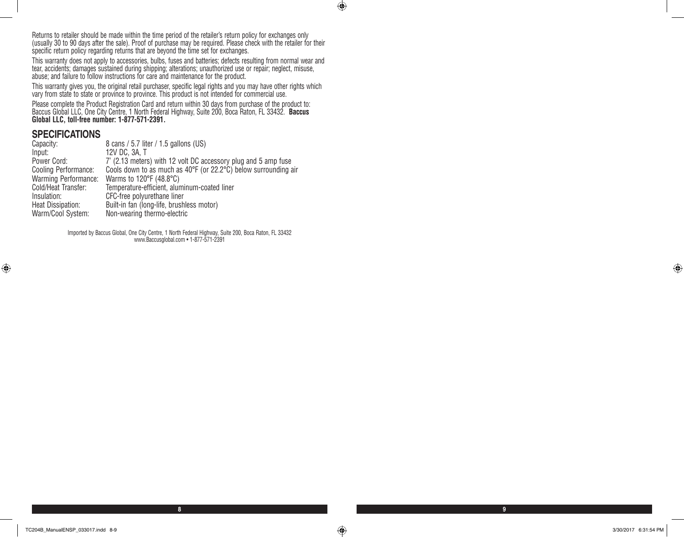Returns to retailer should be made within the time period of the retailer's return policy for exchanges only (usually 30 to 90 days after the sale). Proof of purchase may be required. Please check with the retailer for their specific return policy regarding returns that are beyond the time set for exchanges.

This warranty does not apply to accessories, bulbs, fuses and batteries; defects resulting from normal wear and tear, accidents; damages sustained during shipping; alterations; unauthorized use or repair; neglect, misuse, abuse; and failure to follow instructions for care and maintenance for the product.

This warranty gives you, the original retail purchaser, specific legal rights and you may have other rights which vary from state to state or province to province. This product is not intended for commercial use.

Please complete the Product Registration Card and return within 30 days from purchase of the product to: Baccus Global LLC, One City Centre, 1 North Federal Highway, Suite 200, Boca Raton, FL 33432. **Baccus Global LLC, toll-free number: 1-877-571-2391.** 

### **SPECIFICATIONS**

| Capacity:                   | 8 cans / 5.7 liter / 1.5 gallons (US)                                               |
|-----------------------------|-------------------------------------------------------------------------------------|
| Input:                      | 12V DC, 3A, T                                                                       |
| Power Cord:                 | 7' (2.13 meters) with 12 volt DC accessory plug and 5 amp fuse                      |
| Cooling Performance:        | Cools down to as much as $40^{\circ}F$ (or 22.2 $^{\circ}C$ ) below surrounding air |
| <b>Warming Performance:</b> | Warms to 120 $\degree$ F (48.8 $\degree$ C)                                         |
| Cold/Heat Transfer:         | Temperature-efficient, aluminum-coated liner                                        |
| Insulation:                 | CFC-free polyurethane liner                                                         |
| Heat Dissipation:           | Built-in fan (long-life, brushless motor)                                           |
| Warm/Cool System:           | Non-wearing thermo-electric                                                         |

Imported by Baccus Global, One City Centre, 1 North Federal Highway, Suite 200, Boca Raton, FL 33432 www.Baccusglobal.com • 1-877-571-2391

 $\bigoplus$ 

⊕

**8 9**

 $\bigoplus$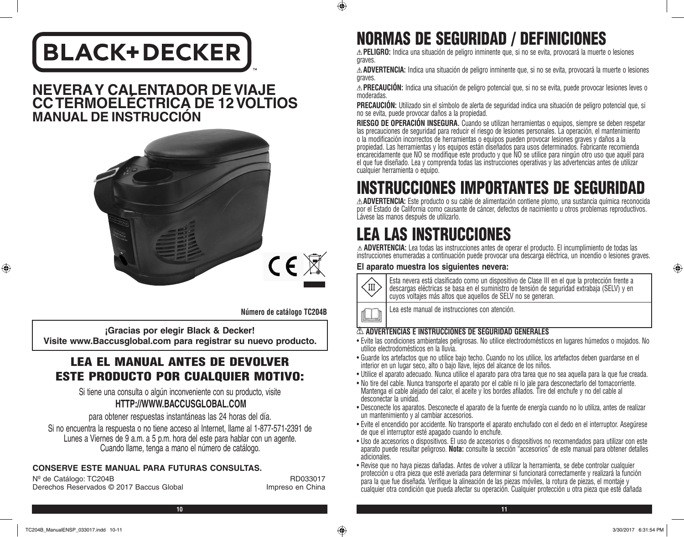# **BLACK+DECKER**

## **NEVERA Y CALENTADOR DE VIAJE CC TERMOELÉCTRICA DE 12 VOLTIOS MANUAL DE INSTRUCCIÓN**



**Número de catálogo TC204B** 

**¡Gracias por elegir Black & Decker! Visite www.Baccusglobal.com para registrar su nuevo producto.**

## LEA EL MANUAL ANTES DE DEVOLVER ESTE PRODUCTO POR CUALQUIER MOTIVO:

Si tiene una consulta o algún inconveniente con su producto, visite **HTTP://WWW.BACCUSGLOBAL.COM**

para obtener respuestas instantáneas las 24 horas del día.

Si no encuentra la respuesta o no tiene acceso al Internet, llame al 1-877-571-2391 de Lunes a Viernes de 9 a.m. a 5 p.m. hora del este para hablar con un agente. Cuando llame, tenga a mano el número de catálogo.

## **CONSERVE ESTE MANUAL PARA FUTURAS CONSULTAS.**

Nº de Catálogo: TC204B RD033017 Derechos Reservados © 2017 Baccus Global Impreso en China

## NORMAS DE SEGURIDAD / DEFINICIONES

**PELIGRO:** Indica una situación de peligro inminente que, si no se evita, provocará la muerte o lesiones graves.

**ADVERTENCIA:** Indica una situación de peligro inminente que, si no se evita, provocará la muerte o lesiones graves.

**PRECAUCIÓN:** Indica una situación de peligro potencial que, si no se evita, puede provocar lesiones leves o moderadas.

**PRECAUCIÓN:** Utilizado sin el símbolo de alerta de seguridad indica una situación de peligro potencial que, si no se evita, puede provocar daños a la propiedad.

**RIESGO DE OPERACIÓN INSEGURA.** Cuando se utilizan herramientas o equipos, siempre se deben respetar las precauciones de seguridad para reducir el riesgo de lesiones personales. La operación, el mantenimiento o la modificación incorrectos de herramientas o equipos pueden provocar lesiones graves y daños a la propiedad. Las herramientas y los equipos están diseñados para usos determinados. Fabricante recomienda encarecidamente que NO se modifique este producto y que NO se utilice para ningún otro uso que aquél para el que fue diseñado. Lea y comprenda todas las instrucciones operativas y las advertencias antes de utilizar cualquier herramienta o equipo.

## INSTRUCCIONES IMPORTANTES DE SEGURIDAD

**ADVERTENCIA:** Este producto o su cable de alimentación contiene plomo, una sustancia química reconocida por el Estado de California como causante de cáncer, defectos de nacimiento u otros problemas reproductivos. Lávese las manos después de utilizarlo.

## LEA LAS INSTRUCCIONES

**ADVERTENCIA:** Lea todas las instrucciones antes de operar el producto. El incumplimiento de todas las instrucciones enumeradas a continuación puede provocar una descarga eléctrica, un incendio o lesiones graves.

### **El aparato muestra los siguientes nevera:**



 $\bigcirc$ 

Esta nevera está clasificado como un dispositivo de Clase III en el que la protección frente a descargas eléctricas se basa en el suministro de tensión de seguridad extrabaja (SELV) y en cuyos voltajes más altos que aquellos de SELV no se generan.

Lea este manual de instrucciones con atención.

### **ADVERTENCIAS E INSTRUCCIONES DE SEGURIDAD GENERALES**

- • Evite las condiciones ambientales peligrosas. No utilice electrodomésticos en lugares húmedos o mojados. No utilice electrodomésticos en la lluvia.
- • Guarde los artefactos que no utilice bajo techo. Cuando no los utilice, los artefactos deben guardarse en el interior en un lugar seco, alto o bajo llave, lejos del alcance de los niños.
- • Utilice el aparato adecuado. Nunca utilice el aparato para otra tarea que no sea aquella para la que fue creada.
- • No tire del cable. Nunca transporte el aparato por el cable ni lo jale para desconectarlo del tomacorriente. Mantenga el cable alejado del calor, el aceite y los bordes afilados. Tire del enchufe y no del cable al desconectar la unidad.
- • Desconecte los aparatos. Desconecte el aparato de la fuente de energía cuando no lo utiliza, antes de realizar un mantenimiento y al cambiar accesorios.
- • Evite el encendido por accidente. No transporte el aparato enchufado con el dedo en el interruptor. Asegúrese de que el interruptor esté apagado cuando lo enchufe.
- • Uso de accesorios o dispositivos. El uso de accesorios o dispositivos no recomendados para utilizar con este aparato puede resultar peligroso. **Nota:** consulte la sección "accesorios" de este manual para obtener detalles adicionales.
- • Revise que no haya piezas dañadas. Antes de volver a utilizar la herramienta, se debe controlar cualquier protección u otra pieza que esté averiada para determinar si funcionará correctamente y realizará la función para la que fue diseñada. Verifique la alineación de las piezas móviles, la rotura de piezas, el montaje y cualquier otra condición que pueda afectar su operación. Cualquier protección u otra pieza que esté dañada

⊕

⊕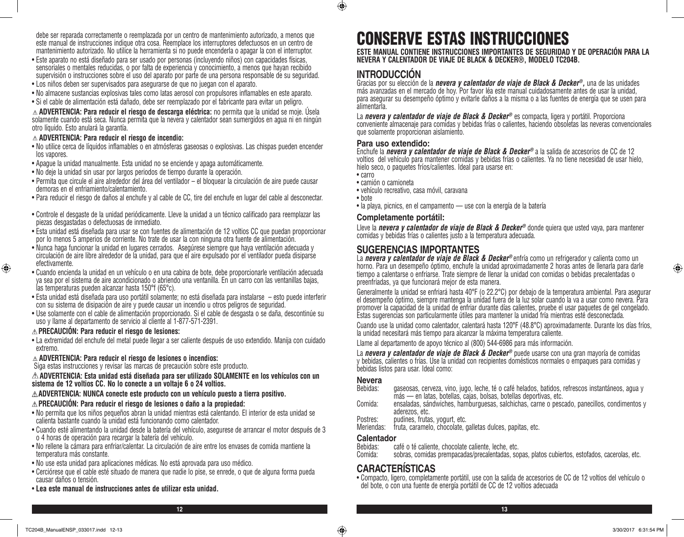debe ser reparada correctamente o reemplazada por un centro de mantenimiento autorizado, a menos que este manual de instrucciones indique otra cosa. Reemplace los interruptores defectuosos en un centro de mantenimiento autorizado. No utilice la herramienta si no puede encenderla o apagar la con el interruptor.

- • Este aparato no está diseñado para ser usado por personas (incluyendo niños) con capacidades físicas, sensoriales o mentales reducidas, o por falta de experiencia y conocimiento, a menos que hayan recibido supervisión o instrucciones sobre el uso del aparato por parte de una persona responsable de su seguridad.
- • Los niños deben ser supervisados para asegurarse de que no juegan con el aparato.
- • No almacene sustancias explosivas tales como latas aerosol con propulsores inflamables en este aparato.
- • Si el cable de alimentación está dañado, debe ser reemplazado por el fabricante para evitar un peligro.

**ADVERTENCIA: Para reducir el riesgo de descarga eléctrica:** no permita que la unidad se moje. Úsela solamente cuando está seca. Nunca permita que la nevera y calentador sean sumergidos en agua ni en ningún otro líquido. Esto anulará la garantía.

#### **ADVERTENCIA: Para reducir el riesgo de incendio:**

- • No utilice cerca de líquidos inflamables o en atmósferas gaseosas o explosivas. Las chispas pueden encender los vapores.
- • Apague la unidad manualmente. Esta unidad no se enciende y apaga automáticamente.
- • No deje la unidad sin usar por largos periodos de tiempo durante la operación.
- • Permita que circule el aire alrededor del área del ventilador el bloquear la circulación de aire puede causar demoras en el enfriamiento/calentamiento.
- • Para reducir el riesgo de daños al enchufe y al cable de CC, tire del enchufe en lugar del cable al desconectar.
- • Controle el desgaste de la unidad periódicamente. Lleve la unidad a un técnico calificado para reemplazar las piezas desgastadas o defectuosas de inmediato.
- • Esta unidad está diseñada para usar se con fuentes de alimentación de 12 voltios CC que puedan proporcionar por lo menos 5 amperios de corriente. No trate de usar la con ninguna otra fuente de alimentación.
- • Nunca haga funcionar la unidad en lugares cerrados. Asegúrese siempre que haya ventilación adecuada y circulación de aire libre alrededor de la unidad, para que el aire expulsado por el ventilador pueda disiparse efectivamente.
- • Cuando encienda la unidad en un vehículo o en una cabina de bote, debe proporcionarle ventilación adecuada ya sea por el sistema de aire acondicionado o abriendo una ventanilla. En un carro con las ventanillas bajas, las temperaturas pueden alcanzar hasta 150°f (65°c).
- • Esta unidad está diseñada para uso portátil solamente; no está diseñada para instalarse esto puede interferir con su sistema de disipación de aire y puede causar un incendio u otros peligros de seguridad.
- • Use solamente con el cable de alimentación proporcionado. Si el cable de desgasta o se daña, descontinúe su uso y llame al departamento de servicio al cliente al 1-877-571-2391.

#### **PRECAUCIÓN: Para reducir el riesgo de lesiones:**

⊕

• La extremidad del enchufe del metal puede llegar a ser caliente después de uso extendido. Manija con cuidado extremo.

#### **ADVERTENCIA: Para reducir el riesgo de lesiones o incendios:**

Siga estas instrucciones y revisar las marcas de precaución sobre este producto.

**ADVERTENCIA: Esta unidad está diseñada para ser utilizado SOLAMENTE en los vehículos con un sistema de 12 voltios CC. No lo conecte a un voltaje 6 o 24 voltios.**

#### **ADVERTENCIA: NUNCA conecte este producto con un vehículo puesto a tierra positivo. PRECAUCIÓN: Para reducir el riesgo de lesiones o daño a la propiedad:**

- • No permita que los niños pequeños abran la unidad mientras está calentando. El interior de esta unidad se calienta bastante cuando la unidad está funcionando como calentador.
- • Cuando esté alimentando la unidad desde la batería del vehículo, asegurese de arrancar el motor después de 3 o 4 horas de operación para recargar la batería del vehículo.
- • No rellene la cámara para enfriar/calentar. La circulación de aire entre los envases de comida mantiene la temperatura más constante.
- • No use esta unidad para aplicaciones médicas. No está aprovada para uso médico.
- • Cerciórese que el cable esté situado de manera que nadie lo pise, se enrede, o que de alguna forma pueda causar daños o tensión.
- • **Lea este manual de instrucciones antes de utilizar esta unidad.**

## CONSERVE ESTAS INSTRUCCIONES

**ESTE MANUAL CONTIENE INSTRUCCIONES IMPORTANTES DE SEGURIDAD Y DE OPERACIÓN PARA LA NEVERA Y CALENTADOR DE VIAJE DE BLACK & DECKER®, MODELO TC204B.**

## **INTRODUCCIÓN**

Gracias por su elección de la *nevera y calentador de viaje de Black & Decker®,* una de las unidades más avanzadas en el mercado de hoy. Por favor léa este manual cuidadosamente antes de usar la unidad, para asegurar su desempeño óptimo y evitarle daños a la misma o a las fuentes de energía que se usen para alimentarla.

La *nevera y calentador de viaje de Black & Decker<sup>®</sup> es compacta, ligera y portátil. Proporciona* conveniente almacenaje para comidas y bebidas frías o calientes, haciendo obsoletas las neveras convencionales que solamente proporcionan aislamiento.

#### **Para uso extendido:**

Enchufe la *nevera y calentador de viaje de Black & Decker®* a la salida de accesorios de CC de 12 voltios del vehículo para mantener comidas y bebidas frías o calientes. Ya no tiene necesidad de usar hielo, hielo seco, o paquetes fríos/calientes. Ideal para usarse en:

• carro

 $\bigcirc$ 

- • camión o camioneta
- • vehículo recreativo, casa móvil, caravana
- • bote • la playa, picnics, en el campamento — use con la energía de la batería

### **Completamente portátil:**

Lleve la *nevera y calentador de viaje de Black & Decker®* donde quiera que usted vaya, para mantener comidas y bebidas frías o calientes justo a la temperatura adecuada.

## **SUGERENCIAS IMPORTANTES**

La **nevera y calentador de viaje de Black & Decker®** enfría como un refrigerador y calienta como un horno. Para un desempeño óptimo, enchufe la unidad aproximadamente 2 horas antes de llenarla para darle tiempo a calentarse o enfriarse. Trate siempre de llenar la unidad con comidas o bebidas precalentadas o preenfriadas, ya que funcionará mejor de esta manera.

Generalmente la unidad se enfriará hasta 40°F (o 22.2°C) por debajo de la temperatura ambiental. Para asegurar el desempeño óptimo, siempre mantenga la unidad fuera de la luz solar cuando la va a usar como nevera. Para Estas sugerencias son particularmente útiles para mantener la unidad fría mientras esté desconectada.

Cuando use la unidad como calentador, calentará hasta 120°F (48.8°C) aproximadamente. Durante los días fríos, la unidad necesitará más tiempo para alcanzar la máxima temperatura caliente.

Llame al departamento de apoyo técnico al (800) 544-6986 para más información.

La *nevera y calentador de viaje de Black & Decker®* puede usarse con una gran mayoría de comidas y bebidas, calientes o frías. Use la unidad con recipientes domésticos normales o empaques para comidas y bebidas listos para usar. Ideal como:

#### **Nevera**

| Bebidas: | gaseosas, cerveza, vino, jugo, leche, té o café helados, batidos, refrescos instantáneos, agua y              |
|----------|---------------------------------------------------------------------------------------------------------------|
|          | más — en latas, botellas, cajas, bolsas, botellas deportivas, etc.                                            |
| Comida:  | ensaladas, sándwiches, hamburguesas, salchichas, carne o pescado, panecillos, condimentos y<br>aderezos, etc. |

- Postres: pudines, frutas, yogurt, etc.<br>Meriendas: fruta, caramelo, chocolate,
- fruta, caramelo, chocolate, galletas dulces, papitas, etc.

## **Calentador**<br>Bebidas: c

Bebidas: café o té caliente, chocolate caliente, leche, etc.<br>Comida: sobras, comidas prempacadas/precalentadas, so

sobras, comidas prempacadas/precalentadas, sopas, platos cubiertos, estofados, cacerolas, etc.

### **CARACTERÍSTICAS**

• Compacto, ligero, completamente portátil, use con la salida de accesorios de CC de 12 voltios del vehículo o del bote, o con una fuente de energía portátil de CC de 12 voltios adecuada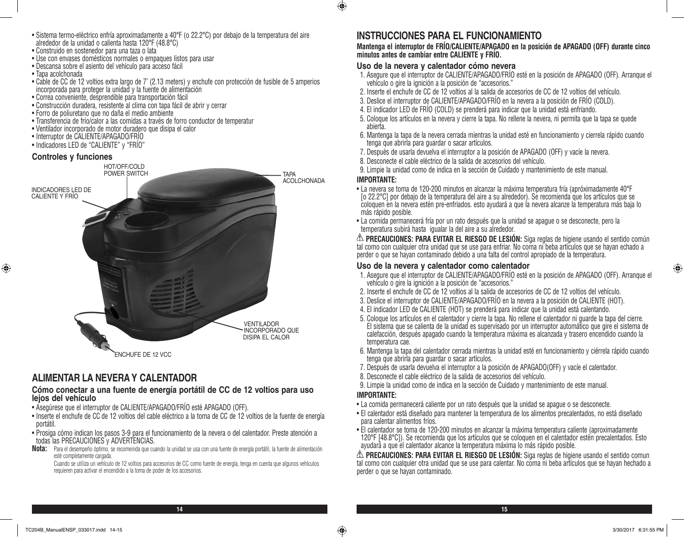- • Sistema termo-eléctrico enfría aproximadamente a 40°F (o 22.2°C) por debajo de la temperatura del aire alrededor de la unidad o calienta hasta 120°F (48.8°C)
- • Construido en sostenedor para una taza o lata
- • Use con envases domésticos normales o empaques listos para usar
- • Descansa sobre el asiento del vehículo para acceso fácil
- • Tapa acolchonada
- • Cable de CC de 12 voltios extra largo de 7' (2.13 meters) y enchufe con protección de fusible de 5 amperios incorporada para proteger la unidad y la fuente de alimentación
- • Correa conveniente, desprendible para transportación fácil
- • Construcción duradera, resistente al clima con tapa fácil de abrir y cerrar
- • Forro de poliuretano que no daña el medio ambiente
- • Transferencia de frío/calor a las comidas a través de forro conductor de temperatur
- • Ventilador incorporado de motor duradero que disipa el calor
- • Interruptor de CALIENTE/APAGADO/FRÍO
- Indicadores LED de "CALIENTE" y "FRÍO"

#### **Controles y funciones**

⊕



### **ALIMENTAR LA NEVERA Y CALENTADOR**

### **Cómo conectar a una fuente de energía portátil de CC de 12 voltios para uso lejos del vehículo**

- • Asegúrese que el interruptor de CALIENTE/APAGADO/FRÍO esté APAGADO (OFF).
- • Inserte el enchufe de CC de 12 voltios del cable eléctrico a la toma de CC de 12 voltios de la fuente de energía portátil.
- • Prosiga cómo indican los pasos 3-9 para el funcionamiento de la nevera o del calentador. Preste atención a todas las PRECAUCIONES y ADVERTENCIAS.
- **Nota:** Para el desempeño óptimo, se recomeinda que cuando la unidad se usa con una fuente de energía portátil, la fuente de alimentación esté completamente cargada.

Cuando se utiliza un vehículo de 12 voltios para accesorios de CC como fuente de energía, tenga en cuenta que algunos vehículos requieren para activar el encendido a la toma de poder de los accesorios.

## **INSTRUCCIONES PARA EL FUNCIONAMIENTO**

### **Mantenga el interruptor de FRÍO/CALIENTE/APAGADO en la posición de APAGADO (OFF) durante cinco minutos antes de cambiar entre CALIENTE y FRÍO.**

### **Uso de la nevera y calentador cómo nevera**

- 1. Asegure que el interruptor de CALIENTE/APAGADO/FRÍO esté en la posición de APAGADO (OFF). Arranque el vehículo o gire la ignición a la posición de "accesorios."
- 2. Inserte el enchufe de CC de 12 voltios al la salida de accesorios de CC de 12 voltios del vehículo.
- 3. Deslice el interruptor de CALIENTE/APAGADO/FRÍO en la nevera a la posición de FRÍO (COLD).
- 4. El indicador LED de FRÍO (COLD) se prenderá para indicar que la unidad está enfriando.
- 5. Coloque los artículos en la nevera y cierre la tapa. No rellene la nevera, ni permita que la tapa se quede abierta.
- 6. Mantenga la tapa de la nevera cerrada mientras la unidad esté en funcionamiento y cierrela rápido cuando tenga que abrirla para guardar o sacar artículos.
- 7. Después de usarla devuelva el interruptor a la posición de APAGADO (OFF) y vacíe la nevera.
- 8. Desconecte el cable eléctrico de la salida de accesorios del vehículo.
- 9. Limpie la unidad como de indica en la sección de Cuidado y mantenimiento de este manual.

#### **IMPORTANTE:**

 $\bigoplus$ 

- • La nevera se toma de 120-200 minutos en alcanzar la máxima temperatura fría (apróximadamente 40°F [o 22.2°C] por debajo de la temperatura del aire a su alrededor). Se recomienda que los artículos que se coloquen en la nevera estén pre-enfriados. esto ayudará a que la nevera alcanze la temperatura más baja lo más rápido posible.
- • La comida permanecerá fría por un rato después que la unidad se apague o se desconecte, pero la temperatura subirá hasta igualar la del aire a su alrededor.

**PRECAUCIONES: PARA EVITAR EL RIESGO DE LESIÓN:** Siga reglas de higiene usando el sentido común tal como con cualquier otra unidad que se use para enfriar. No coma ni beba artículos que se hayan echado a perder o que se hayan contaminado debido a una falta del control apropiado de la temperatura.

### **Uso de la nevera y calentador como calentador**

- 1. Asegure que el interruptor de CALIENTE/APAGADO/FRÍO esté en la posición de APAGADO (OFF). Arranque el vehículo o gire la ignición a la posición de "accesorios."
- 2. Inserte el enchufe de CC de 12 voltios al la salida de accesorios de CC de 12 voltios del vehículo.
- 3. Deslice el interruptor de CALIENTE/APAGADO/FRÍO en la nevera a la posición de CALIENTE (HOT).
- 4. El indicador LED de CALIENTE (HOT) se prenderá para indicar que la unidad está calentando.
- 5. Coloque los artículos en el calentador y cierre la tapa. No rellene el calentador ni guarde la tapa del cierre. El sistema que se calienta de la unidad es supervisado por un interruptor automático que gire el sistema de calefacción, después apagado cuando la temperatura máxima es alcanzada y trasero encendido cuando la temperatura cae.
- 6. Mantenga la tapa del calentador cerrada mientras la unidad esté en funcionamiento y ciérrela rápido cuando tenga que abrirla para guardar o sacar artículos.
- 7. Después de usarla devuelva el interruptor a la posición de APAGADO(OFF) y vacíe el calentador.
- 8. Desconecte el cable eléctrico de la salida de accesorios del vehículo.
- 9. Limpie la unidad como de indica en la sección de Cuidado y mantenimiento de este manual.

### **IMPORTANTE:**

- • La comida permanecerá caliente por un rato después que la unidad se apague o se desconecte.
- • El calentador está diseñado para mantener la temperatura de los alimentos precalentados, no está diseñado para calentar alimentos fríos.
- • El calentador se toma de 120-200 minutos en alcanzar la máxima temperatura caliente (aproximadamente 120°F [48.8°C]). Se recomienda que los artículos que se coloquen en el calentador estén precalentados. Esto ayudará a que el calentador alcance la temperatura máxima lo más rápido posible.

**PRECAUCIONES: PARA EVITAR EL RIESGO DE LESIÓN:** Siga reglas de higiene usando el sentido comun tal como con cualquier otra unidad que se use para calentar. No coma ni beba artículos que se hayan hechado a perder o que se hayan contaminado.

⊕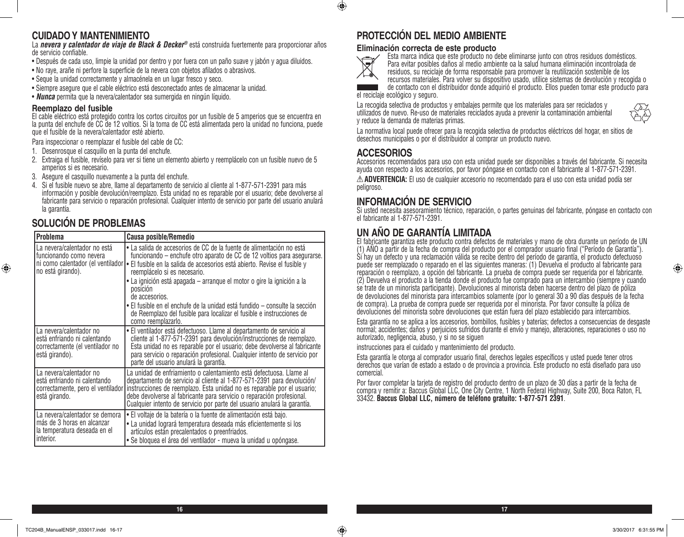## **CUIDADO Y MANTENIMIENTO**

La *nevera y calentador de viaje de Black & Decker®* está construida fuertemente para proporcionar años de servicio confiable.

- • Después de cada uso, limpie la unidad por dentro y por fuera con un paño suave y jabón y agua diluidos.
- • No raye, arañe ni perfore la superficie de la nevera con objetos afilados o abrasivos.
- • Seque la unidad correctamente y almacénela en un lugar fresco y seco.
- • Siempre asegure que el cable eléctrico está desconectado antes de almacenar la unidad.
- • *Nunca* permita que la nevera/calentador sea sumergida en ningún líquido.

### **Reemplazo del fusible**

El cable eléctrico está protegido contra los cortos circuitos por un fusible de 5 amperios que se encuentra en la punta del enchufe de CC de 12 voltios. Si la toma de CC está alimentada pero la unidad no funciona, puede que el fusible de la nevera/calentador esté abierto.

Para inspeccionar o reemplazar el fusible del cable de CC:

- 1. Desenrosque el casquillo en la punta del enchufe.
- 2. Extraiga el fusible, revíselo para ver si tiene un elemento abierto y reemplácelo con un fusible nuevo de 5 amperios si es necesario.
- 3. Asegure el casquillo nuevamente a la punta del enchufe.
- 4. Si el fusible nuevo se abre, llame al departamento de servicio al cliente al 1-877-571-2391 para más información y posible devolución/reemplazo. Esta unidad no es reparable por el usuario; debe devolverse al fabricante para servicio o reparación profesional. Cualquier intento de servicio por parte del usuario anulará la garantía.

## **SOLUCIÓN DE PROBLEMAS**

⊕

| <b>Problema</b>                                                                                                   | <b>Causa posible/Remedio</b>                                                                                                                                                                                                                                                                                                                                                                                                                                                                                                                      |  |
|-------------------------------------------------------------------------------------------------------------------|---------------------------------------------------------------------------------------------------------------------------------------------------------------------------------------------------------------------------------------------------------------------------------------------------------------------------------------------------------------------------------------------------------------------------------------------------------------------------------------------------------------------------------------------------|--|
| La nevera/calentador no está<br>funcionando como nevera<br>ni como calentador (el ventilador<br>no está girando). | • La salida de accesorios de CC de la fuente de alimentación no está<br>funcionando – enchufe otro aparato de CC de 12 voltios para asegurarse.<br>· El fusible en la salida de accesorios está abierto. Revise el fusible y<br>reemplácelo si es necesario.<br>• La ignición está apagada – arranque el motor o gire la ignición a la<br>posición<br>de accesorios.<br>• El fusible en el enchufe de la unidad está fundido – consulte la sección<br>de Reemplazo del fusible para localizar el fusible e instrucciones de<br>como reemplazarlo. |  |
| La nevera/calentador no<br>está enfriando ni calentando<br>correctamente (el ventilador no<br>está girando).      | • El ventilador está defectuoso. Llame al departamento de servicio al<br>cliente al 1-877-571-2391 para devolución/instrucciones de reemplazo.<br>Esta unidad no es reparable por el usuario; debe devolverse al fabricante<br>para servicio o reparación profesional. Cualquier intento de servicio por<br>parte del usuario anulará la garantía.                                                                                                                                                                                                |  |
| La nevera/calentador no<br>está enfriando ni calentando<br>correctamente, pero el ventilador<br>está girando.     | La unidad de enfriamiento o calentamiento está defectuosa. Llame al<br>departamento de servicio al cliente al 1-877-571-2391 para devolución/<br>instrucciones de reemplazo. Esta unidad no es reparable por el usuario;<br>debe devolverse al fabricante para servicio o reparación profesional.<br>Cualquier intento de servicio por parte del usuario anulará la garantía.                                                                                                                                                                     |  |
| La nevera/calentador se demora<br>más de 3 horas en alcanzar<br>la temperatura deseada en el<br>interior.         | • El voltaje de la batería o la fuente de alimentación está bajo.<br>• La unidad logrará temperatura deseada más eficientemente si los<br>artículos están precalentados o preenfriados.<br>· Se bloquea el área del ventilador - mueva la unidad u opóngase.                                                                                                                                                                                                                                                                                      |  |

## **PROTECCIÓN DEL MEDIO AMBIENTE**

### **Eliminación correcta de este producto**



 $\bigoplus$ 

Esta marca indica que este producto no debe eliminarse junto con otros residuos domésticos. Para evitar posibles daños al medio ambiente oa la salud humana eliminación incontrolada de residuos, su reciclaje de forma responsable para promover la reutilización sostenible de los recursos materiales. Para volver su dispositivo usado, utilice sistemas de devolución y recogida o

de contacto con el distribuidor donde adquirió el producto. Ellos pueden tomar este producto para el reciclaje ecológico y seguro.

La recogida selectiva de productos y embalajes permite que los materiales para ser reciclados y utilizados de nuevo. Re-uso de materiales reciclados ayuda a prevenir la contaminación ambiental y reduce la demanda de materias primas.



⊕

La normativa local puede ofrecer para la recogida selectiva de productos eléctricos del hogar, en sitios de desechos municipales o por el distribuidor al comprar un producto nuevo.

## **ACCESORIOS**

Accesorios recomendados para uso con esta unidad puede ser disponibles a través del fabricante. Si necesita ayuda con respecto a los accesorios, por favor póngase en contacto con el fabricante al 1-877-571-2391. **ADVERTENCIA:** El uso de cualquier accesorio no recomendado para el uso con esta unidad podía ser peligroso.

## **INFORMACIÓN DE SERVICIO**

Si usted necesita asesoramiento técnico, reparación, o partes genuinas del fabricante, póngase en contacto con el fabricante al 1-877-571-2391.

## **UN AÑO DE GARANTÍA LIMITADA**

El fabricante garantiza este producto contra defectos de materiales y mano de obra durante un período de UN (1) AÑO a partir de la fecha de compra del producto por el comprador usuario final ("Período de Garantía"). Si hay un defecto y una reclamación válida se recibe dentro del período de garantía, el producto defectuoso puede ser reemplazado o reparado en el las siguientes maneras: (1) Devuelva el producto al fabricante para reparación o reemplazo, a opción del fabricante. La prueba de compra puede ser requerida por el fabricante. (2) Devuelva el producto a la tienda donde el producto fue comprado para un intercambio (siempre y cuando se trate de un minorista participante). Devoluciones al minorista deben hacerse dentro del plazo de póliza de devoluciones del minorista para intercambios solamente (por lo general 30 a 90 días después de la fecha de compra). La prueba de compra puede ser requerida por el minorista. Por favor consulte la póliza de devoluciones del minorista sobre devoluciones que están fuera del plazo establecido para intercambios.

Esta garantía no se aplica a los accesorios, bombillos, fusibles y baterías; defectos a consecuencias de desgaste normal; accidentes; daños y perjuicios sufridos durante el envío y manejo, alteraciones, reparaciones o uso no autorizado, negligencia, abuso, y si no se siguen

instrucciones para el cuidado y mantenimiento del producto.

Esta garantía le otorga al comprador usuario final, derechos legales específicos y usted puede tener otros derechos que varían de estado a estado o de provincia a provincia. Este producto no está diseñado para uso comercial.

Por favor completar la tarjeta de registro del producto dentro de un plazo de 30 días a partir de la fecha de compra y remitir a: Baccus Global LLC, One City Centre, 1 North Federal Highway, Suite 200, Boca Raton, FL 33432. **Baccus Global LLC, número de teléfono gratuito: 1-877-571 2391**.